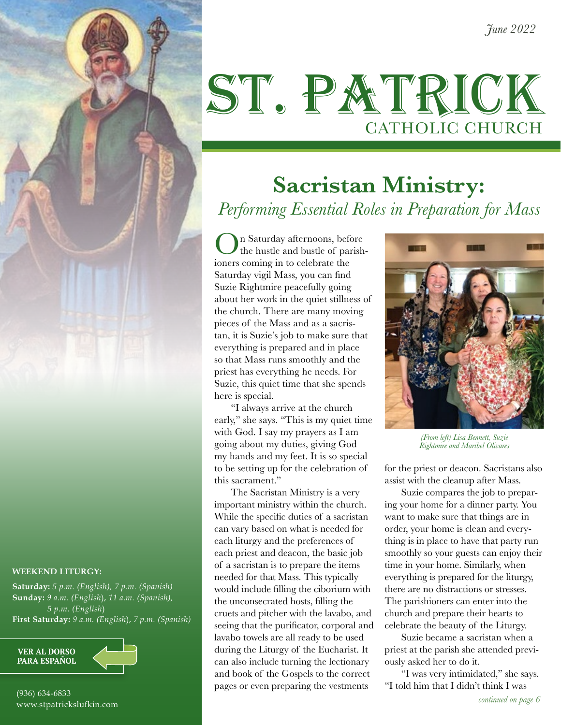## ST. PATRICK CATHOLIC CHURCH

### **Sacristan Ministry:**  *Performing Essential Roles in Preparation for Mass*

On Saturday afternoons, before the hustle and bustle of parishioners coming in to celebrate the Saturday vigil Mass, you can find Suzie Rightmire peacefully going about her work in the quiet stillness of the church. There are many moving pieces of the Mass and as a sacristan, it is Suzie's job to make sure that everything is prepared and in place so that Mass runs smoothly and the priest has everything he needs. For Suzie, this quiet time that she spends here is special.

"I always arrive at the church early," she says. "This is my quiet time with God. I say my prayers as I am going about my duties, giving God my hands and my feet. It is so special to be setting up for the celebration of this sacrament."

The Sacristan Ministry is a very important ministry within the church. While the specific duties of a sacristan can vary based on what is needed for each liturgy and the preferences of each priest and deacon, the basic job of a sacristan is to prepare the items needed for that Mass. This typically would include filling the ciborium with the unconsecrated hosts, filling the cruets and pitcher with the lavabo, and seeing that the purificator, corporal and lavabo towels are all ready to be used during the Liturgy of the Eucharist. It can also include turning the lectionary and book of the Gospels to the correct pages or even preparing the vestments



*(From left) Lisa Bennett, Suzie Rightmire and Maribel Olivares*

for the priest or deacon. Sacristans also assist with the cleanup after Mass.

Suzie compares the job to preparing your home for a dinner party. You want to make sure that things are in order, your home is clean and everything is in place to have that party run smoothly so your guests can enjoy their time in your home. Similarly, when everything is prepared for the liturgy, there are no distractions or stresses. The parishioners can enter into the church and prepare their hearts to celebrate the beauty of the Liturgy.

Suzie became a sacristan when a priest at the parish she attended previously asked her to do it.

"I was very intimidated," she says. "I told him that I didn't think I was

### **WEEKEND LITURGY:**

**Saturday:** *5 p.m. (English), 7 p.m. (Spanish)* **Sunday:** *9 a.m. (English*), *11 a.m. (Spanish), 5 p.m. (English*) **First Saturday:** *9 a.m. (English*), *7 p.m. (Spanish)*



(936) 634-6833 www.stpatrickslufkin.com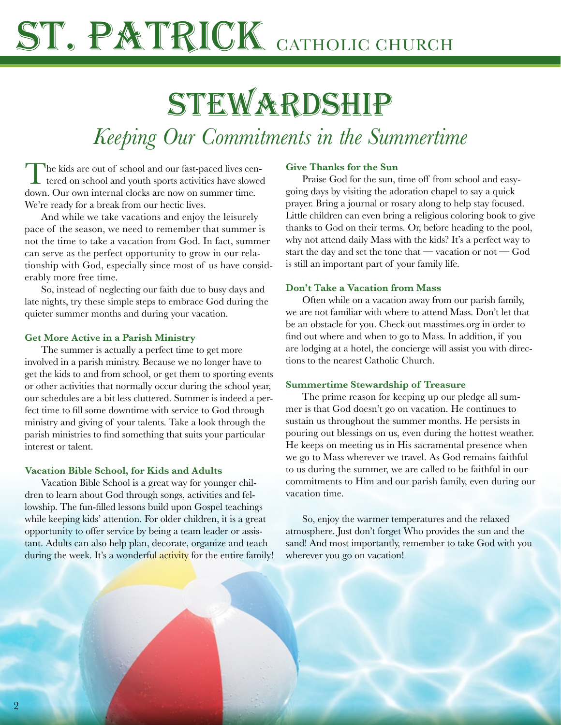# I. PATRICK CATHOLIC CHURCH

## **STEWARDSHIP**

### *Keeping Our Commitments in the Summertime*

The kids are out of school and our fast-paced lives cen-tered on school and youth sports activities have slowed down. Our own internal clocks are now on summer time. We're ready for a break from our hectic lives.

And while we take vacations and enjoy the leisurely pace of the season, we need to remember that summer is not the time to take a vacation from God. In fact, summer can serve as the perfect opportunity to grow in our relationship with God, especially since most of us have considerably more free time.

So, instead of neglecting our faith due to busy days and late nights, try these simple steps to embrace God during the quieter summer months and during your vacation.

#### **Get More Active in a Parish Ministry**

The summer is actually a perfect time to get more involved in a parish ministry. Because we no longer have to get the kids to and from school, or get them to sporting events or other activities that normally occur during the school year, our schedules are a bit less cluttered. Summer is indeed a perfect time to fill some downtime with service to God through ministry and giving of your talents. Take a look through the parish ministries to find something that suits your particular interest or talent.

#### **Vacation Bible School, for Kids and Adults**

Vacation Bible School is a great way for younger children to learn about God through songs, activities and fellowship. The fun-filled lessons build upon Gospel teachings while keeping kids' attention. For older children, it is a great opportunity to offer service by being a team leader or assistant. Adults can also help plan, decorate, organize and teach during the week. It's a wonderful activity for the entire family!

#### **Give Thanks for the Sun**

Praise God for the sun, time off from school and easygoing days by visiting the adoration chapel to say a quick prayer. Bring a journal or rosary along to help stay focused. Little children can even bring a religious coloring book to give thanks to God on their terms. Or, before heading to the pool, why not attend daily Mass with the kids? It's a perfect way to start the day and set the tone that — vacation or not — God is still an important part of your family life.

### **Don't Take a Vacation from Mass**

Often while on a vacation away from our parish family, we are not familiar with where to attend Mass. Don't let that be an obstacle for you. Check out masstimes.org in order to find out where and when to go to Mass. In addition, if you are lodging at a hotel, the concierge will assist you with directions to the nearest Catholic Church.

#### **Summertime Stewardship of Treasure**

The prime reason for keeping up our pledge all summer is that God doesn't go on vacation. He continues to sustain us throughout the summer months. He persists in pouring out blessings on us, even during the hottest weather. He keeps on meeting us in His sacramental presence when we go to Mass wherever we travel. As God remains faithful to us during the summer, we are called to be faithful in our commitments to Him and our parish family, even during our vacation time.

So, enjoy the warmer temperatures and the relaxed atmosphere. Just don't forget Who provides the sun and the sand! And most importantly, remember to take God with you wherever you go on vacation!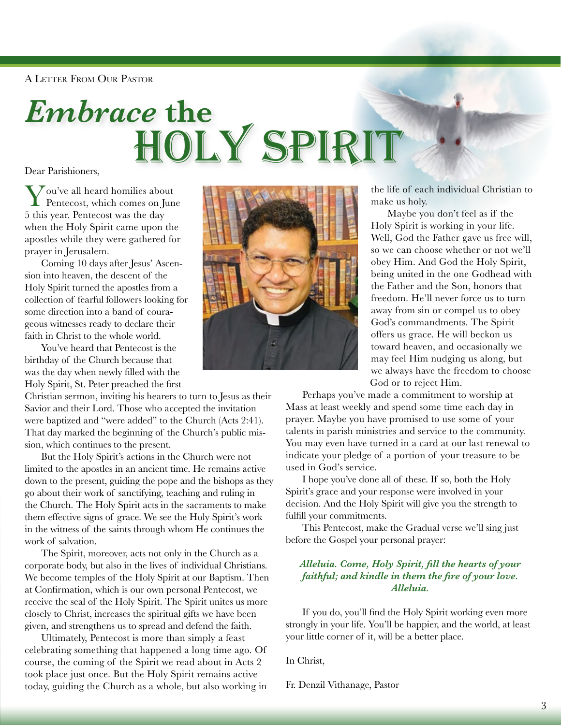A Letter From Our Pastor

## *Embrace* **the**  HOLY SPIRIT

Dear Parishioners,

 $\sum$ ou've all heard homilies about Pentecost, which comes on June 5 this year. Pentecost was the day when the Holy Spirit came upon the apostles while they were gathered for prayer in Jerusalem.

Coming 10 days after Jesus' Ascension into heaven, the descent of the Holy Spirit turned the apostles from a collection of fearful followers looking for some direction into a band of courageous witnesses ready to declare their faith in Christ to the whole world.

You've heard that Pentecost is the birthday of the Church because that was the day when newly filled with the Holy Spirit, St. Peter preached the first

Christian sermon, inviting his hearers to turn to Jesus as their Savior and their Lord. Those who accepted the invitation were baptized and "were added" to the Church (Acts 2:41). That day marked the beginning of the Church's public mission, which continues to the present.

But the Holy Spirit's actions in the Church were not limited to the apostles in an ancient time. He remains active down to the present, guiding the pope and the bishops as they go about their work of sanctifying, teaching and ruling in the Church. The Holy Spirit acts in the sacraments to make them effective signs of grace. We see the Holy Spirit's work in the witness of the saints through whom He continues the work of salvation.

The Spirit, moreover, acts not only in the Church as a corporate body, but also in the lives of individual Christians. We become temples of the Holy Spirit at our Baptism. Then at Confirmation, which is our own personal Pentecost, we receive the seal of the Holy Spirit. The Spirit unites us more closely to Christ, increases the spiritual gifts we have been given, and strengthens us to spread and defend the faith.

Ultimately, Pentecost is more than simply a feast celebrating something that happened a long time ago. Of course, the coming of the Spirit we read about in Acts 2 took place just once. But the Holy Spirit remains active today, guiding the Church as a whole, but also working in



the life of each individual Christian to make us holy.

Maybe you don't feel as if the Holy Spirit is working in your life. Well, God the Father gave us free will, so we can choose whether or not we'll obey Him. And God the Holy Spirit, being united in the one Godhead with the Father and the Son, honors that freedom. He'll never force us to turn away from sin or compel us to obey God's commandments. The Spirit offers us grace. He will beckon us toward heaven, and occasionally we may feel Him nudging us along, but we always have the freedom to choose God or to reject Him.

Perhaps you've made a commitment to worship at Mass at least weekly and spend some time each day in prayer. Maybe you have promised to use some of your talents in parish ministries and service to the community. You may even have turned in a card at our last renewal to indicate your pledge of a portion of your treasure to be used in God's service.

I hope you've done all of these. If so, both the Holy Spirit's grace and your response were involved in your decision. And the Holy Spirit will give you the strength to fulfill your commitments.

This Pentecost, make the Gradual verse we'll sing just before the Gospel your personal prayer:

#### *Alleluia. Come, Holy Spirit, fill the hearts of your faithful; and kindle in them the fire of your love. Alleluia.*

If you do, you'll find the Holy Spirit working even more strongly in your life. You'll be happier, and the world, at least your little corner of it, will be a better place.

In Christ,

Fr. Denzil Vithanage, Pastor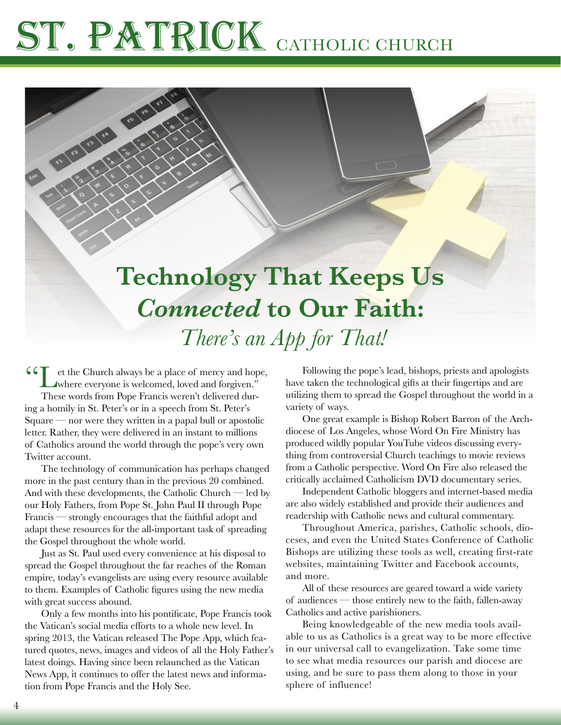### **Technology That Keeps Us**  *Connected* **to Our Faith:**  *There's an App for That!*

CC  $\bigcup_{\text{where everyone is welcome, loved and forgiven.}}$ These words from Pope Francis weren't delivered during a homily in St. Peter's or in a speech from St. Peter's  $Square$  — nor were they written in a papal bull or apostolic letter. Rather, they were delivered in an instant to millions of Catholics around the world through the pope's very own Twitter account.

**CONSTRUCTION** 

The technology of communication has perhaps changed more in the past century than in the previous 20 combined. And with these developments, the Catholic Church — led by our Holy Fathers, from Pope St. John Paul II through Pope Francis — strongly encourages that the faithful adopt and adapt these resources for the all-important task of spreading the Gospel throughout the whole world.

Just as St. Paul used every convenience at his disposal to spread the Gospel throughout the far reaches of the Roman empire, today's evangelists are using every resource available to them. Examples of Catholic figures using the new media with great success abound.

Only a few months into his pontificate, Pope Francis took the Vatican's social media efforts to a whole new level. In spring 2013, the Vatican released The Pope App, which featured quotes, news, images and videos of all the Holy Father's latest doings. Having since been relaunched as the Vatican News App, it continues to offer the latest news and information from Pope Francis and the Holy See.

Following the pope's lead, bishops, priests and apologists have taken the technological gifts at their fingertips and are utilizing them to spread the Gospel throughout the world in a variety of ways.

One great example is Bishop Robert Barron of the Archdiocese of Los Angeles, whose Word On Fire Ministry has produced wildly popular YouTube videos discussing everything from controversial Church teachings to movie reviews from a Catholic perspective. Word On Fire also released the critically acclaimed Catholicism DVD documentary series.

Independent Catholic bloggers and internet-based media are also widely established and provide their audiences and readership with Catholic news and cultural commentary.

Throughout America, parishes, Catholic schools, dioceses, and even the United States Conference of Catholic Bishops are utilizing these tools as well, creating first-rate websites, maintaining Twitter and Facebook accounts, and more.

All of these resources are geared toward a wide variety of audiences — those entirely new to the faith, fallen-away Catholics and active parishioners.

Being knowledgeable of the new media tools available to us as Catholics is a great way to be more effective in our universal call to evangelization. Take some time to see what media resources our parish and diocese are using, and be sure to pass them along to those in your sphere of influence!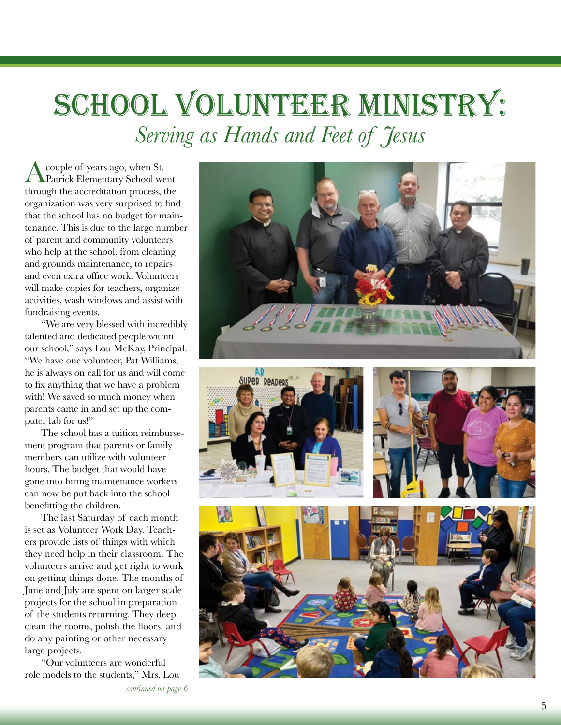### School Volunteer Ministry: *Serving as Hands and Feet of Jesus*

A couple of years ago, when St. Patrick Elementary School went through the accreditation process, the organization was very surprised to find that the school has no budget for maintenance. This is due to the large number of parent and community volunteers who help at the school, from cleaning and grounds maintenance, to repairs and even extra office work. Volunteers will make copies for teachers, organize activities, wash windows and assist with fundraising events.

"We are very blessed with incredibly talented and dedicated people within our school," says Lou McKay, Principal. "We have one volunteer, Pat Williams, he is always on call for us and will come to fix anything that we have a problem with! We saved so much money when parents came in and set up the computer lab for us!"

The school has a tuition reimbursement program that parents or family members can utilize with volunteer hours. The budget that would have gone into hiring maintenance workers can now be put back into the school benefitting the children.

The last Saturday of each month is set as Volunteer Work Day. Teachers provide lists of things with which they need help in their classroom. The volunteers arrive and get right to work on getting things done. The months of June and July are spent on larger scale projects for the school in preparation of the students returning. They deep clean the rooms, polish the floors, and do any painting or other necessary large projects.

"Our volunteers are wonderful role models to the students," Mrs. Lou







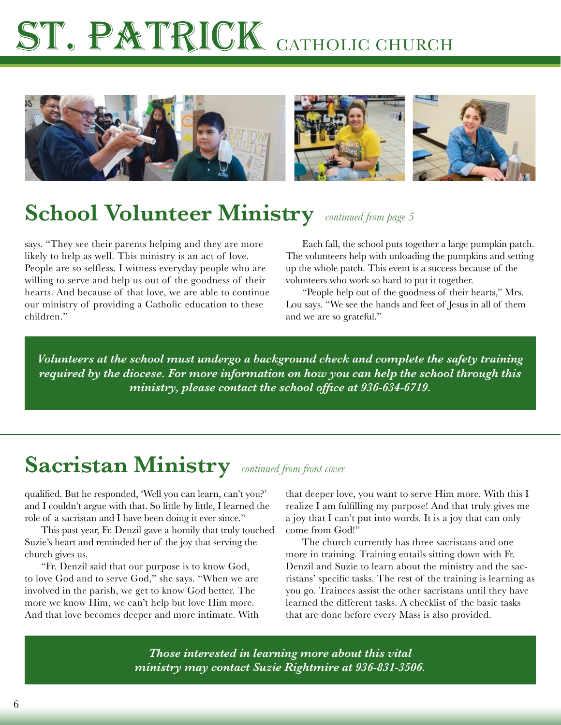

### **School Volunteer Ministry** *continued from page 5*

says. "They see their parents helping and they are more likely to help as well. This ministry is an act of love. People are so selfless. I witness everyday people who are willing to serve and help us out of the goodness of their hearts. And because of that love, we are able to continue our ministry of providing a Catholic education to these children."

Each fall, the school puts together a large pumpkin patch. The volunteers help with unloading the pumpkins and setting up the whole patch. This event is a success because of the volunteers who work so hard to put it together.

"People help out of the goodness of their hearts," Mrs. Lou says. "We see the hands and feet of Jesus in all of them and we are so grateful."

*Volunteers at the school must undergo a background check and complete the safety training required by the diocese. For more information on how you can help the school through this ministry, please contact the school office at 936-634-6719.*

### **Sacristan Ministry** *continued from front cover*

qualified. But he responded, 'Well you can learn, can't you?' and I couldn't argue with that. So little by little, I learned the role of a sacristan and I have been doing it ever since."

This past year, Fr. Denzil gave a homily that truly touched Suzie's heart and reminded her of the joy that serving the church gives us.

"Fr. Denzil said that our purpose is to know God, to love God and to serve God," she says. "When we are involved in the parish, we get to know God better. The more we know Him, we can't help but love Him more. And that love becomes deeper and more intimate. With

that deeper love, you want to serve Him more. With this I realize I am fulfilling my purpose! And that truly gives me a joy that I can't put into words. It is a joy that can only come from God!"

The church currently has three sacristans and one more in training. Training entails sitting down with Fr. Denzil and Suzie to learn about the ministry and the sacristans' specific tasks. The rest of the training is learning as you go. Trainees assist the other sacristans until they have learned the different tasks. A checklist of the basic tasks that are done before every Mass is also provided.

*Those interested in learning more about this vital ministry may contact Suzie Rightmire at 936-831-3506.*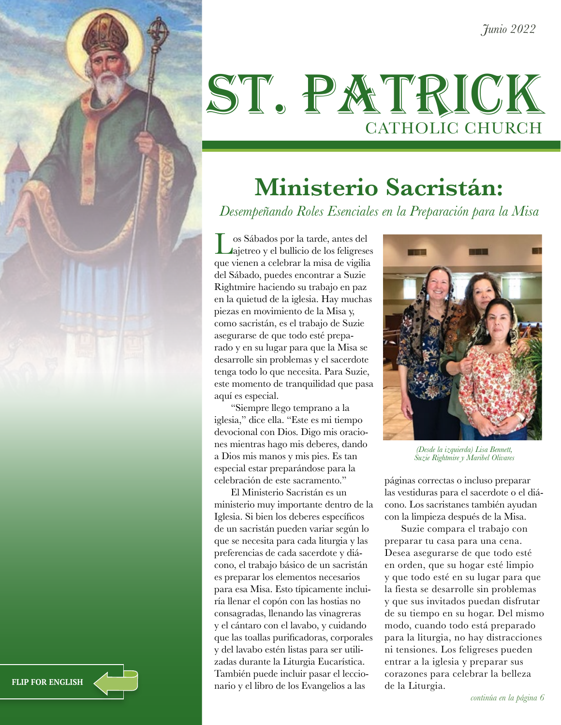*Junio 2022*

## ST. PATRICK CATHOLIC CHURCH

### **Ministerio Sacristán:**

*Desempeñando Roles Esenciales en la Preparación para la Misa*

Los Sábados por la tarde, antes del ajetreo y el bullicio de los feligreses que vienen a celebrar la misa de vigilia del Sábado, puedes encontrar a Suzie Rightmire haciendo su trabajo en paz en la quietud de la iglesia. Hay muchas piezas en movimiento de la Misa y, como sacristán, es el trabajo de Suzie asegurarse de que todo esté preparado y en su lugar para que la Misa se desarrolle sin problemas y el sacerdote tenga todo lo que necesita. Para Suzie, este momento de tranquilidad que pasa aquí es especial.

"Siempre llego temprano a la iglesia," dice ella. "Este es mi tiempo devocional con Dios. Digo mis oraciones mientras hago mis deberes, dando a Dios mis manos y mis pies. Es tan especial estar preparándose para la celebración de este sacramento."

El Ministerio Sacristán es un ministerio muy importante dentro de la Iglesia. Si bien los deberes específicos de un sacristán pueden variar según lo que se necesita para cada liturgia y las preferencias de cada sacerdote y diácono, el trabajo básico de un sacristán es preparar los elementos necesarios para esa Misa. Esto típicamente incluiría llenar el copón con las hostias no consagradas, llenando las vinagreras y el cántaro con el lavabo, y cuidando que las toallas purificadoras, corporales y del lavabo estén listas para ser utilizadas durante la Liturgia Eucarística. También puede incluir pasar el leccionario y el libro de los Evangelios a las



*(Desde la izquierda) Lisa Bennett, Suzie Rightmire y Maribel Olivares*

páginas correctas o incluso preparar las vestiduras para el sacerdote o el diácono. Los sacristanes también ayudan con la limpieza después de la Misa.

Suzie compara el trabajo con preparar tu casa para una cena. Desea asegurarse de que todo esté en orden, que su hogar esté limpio y que todo esté en su lugar para que la fiesta se desarrolle sin problemas y que sus invitados puedan disfrutar de su tiempo en su hogar. Del mismo modo, cuando todo está preparado para la liturgia, no hay distracciones ni tensiones. Los feligreses pueden entrar a la iglesia y preparar sus corazones para celebrar la belleza de la Liturgia.

**FLIP FOR ENGLISH**

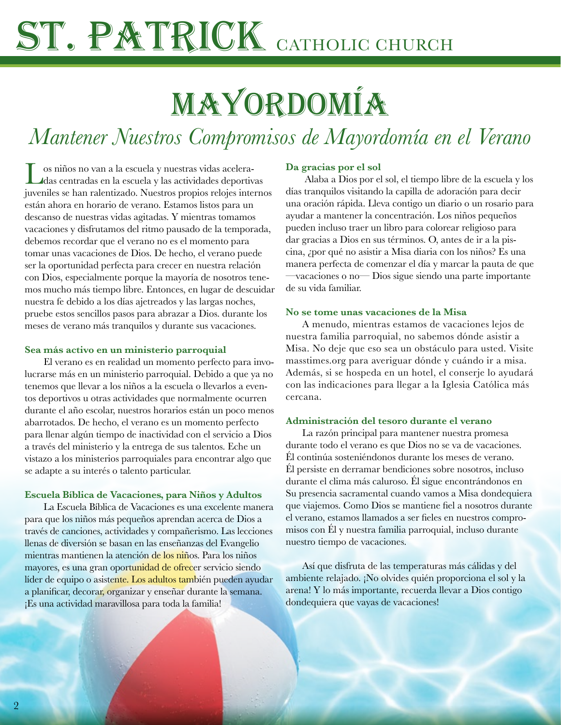# I. PATRICK CATHOLIC CHURCH

## Mayordomía

### *Mantener Nuestros Compromisos de Mayordomía en el Verano*

Los niños no van a la escuela y nuestras vidas aceleradas centradas en la escuela y las actividades deportivas juveniles se han ralentizado. Nuestros propios relojes internos están ahora en horario de verano. Estamos listos para un descanso de nuestras vidas agitadas. Y mientras tomamos vacaciones y disfrutamos del ritmo pausado de la temporada, debemos recordar que el verano no es el momento para tomar unas vacaciones de Dios. De hecho, el verano puede ser la oportunidad perfecta para crecer en nuestra relación con Dios, especialmente porque la mayoría de nosotros tenemos mucho más tiempo libre. Entonces, en lugar de descuidar nuestra fe debido a los días ajetreados y las largas noches, pruebe estos sencillos pasos para abrazar a Dios. durante los meses de verano más tranquilos y durante sus vacaciones.

#### **Sea más activo en un ministerio parroquial**

 El verano es en realidad un momento perfecto para involucrarse más en un ministerio parroquial. Debido a que ya no tenemos que llevar a los niños a la escuela o llevarlos a eventos deportivos u otras actividades que normalmente ocurren durante el año escolar, nuestros horarios están un poco menos abarrotados. De hecho, el verano es un momento perfecto para llenar algún tiempo de inactividad con el servicio a Dios a través del ministerio y la entrega de sus talentos. Eche un vistazo a los ministerios parroquiales para encontrar algo que se adapte a su interés o talento particular.

#### **Escuela Bíblica de Vacaciones, para Niños y Adultos**

 La Escuela Bíblica de Vacaciones es una excelente manera para que los niños más pequeños aprendan acerca de Dios a través de canciones, actividades y compañerismo. Las lecciones llenas de diversión se basan en las enseñanzas del Evangelio mientras mantienen la atención de los niños. Para los niños mayores, es una gran oportunidad de ofrecer servicio siendo líder de equipo o asistente. Los adultos también pueden ayudar a planificar, decorar, organizar y enseñar durante la semana. ¡Es una actividad maravillosa para toda la familia!

#### **Da gracias por el sol**

 Alaba a Dios por el sol, el tiempo libre de la escuela y los días tranquilos visitando la capilla de adoración para decir una oración rápida. Lleva contigo un diario o un rosario para ayudar a mantener la concentración. Los niños pequeños pueden incluso traer un libro para colorear religioso para dar gracias a Dios en sus términos. O, antes de ir a la piscina, ¿por qué no asistir a Misa diaria con los niños? Es una manera perfecta de comenzar el día y marcar la pauta de que —vacaciones o no— Dios sigue siendo una parte importante de su vida familiar.

#### **No se tome unas vacaciones de la Misa**

A menudo, mientras estamos de vacaciones lejos de nuestra familia parroquial, no sabemos dónde asistir a Misa. No deje que eso sea un obstáculo para usted. Visite masstimes.org para averiguar dónde y cuándo ir a misa. Además, si se hospeda en un hotel, el conserje lo ayudará con las indicaciones para llegar a la Iglesia Católica más cercana.

#### **Administración del tesoro durante el verano**

La razón principal para mantener nuestra promesa durante todo el verano es que Dios no se va de vacaciones. Él continúa sosteniéndonos durante los meses de verano. Él persiste en derramar bendiciones sobre nosotros, incluso durante el clima más caluroso. Él sigue encontrándonos en Su presencia sacramental cuando vamos a Misa dondequiera que viajemos. Como Dios se mantiene fiel a nosotros durante el verano, estamos llamados a ser fieles en nuestros compromisos con Él y nuestra familia parroquial, incluso durante nuestro tiempo de vacaciones.

Así que disfruta de las temperaturas más cálidas y del ambiente relajado. ¡No olvides quién proporciona el sol y la arena! Y lo más importante, recuerda llevar a Dios contigo dondequiera que vayas de vacaciones!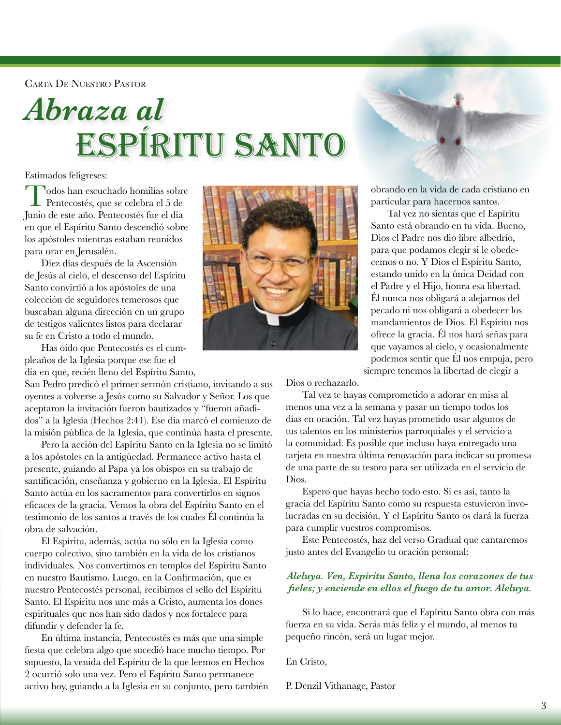Carta De Nuestro Pastor

## *Abraza al* ESPÍRITU SANTO

Estimados feligreses:

Todos han escuchado homilías sobre Pentecostés, que se celebra el 5 de Junio de este año. Pentecostés fue el día en que el Espíritu Santo descendió sobre los apóstoles mientras estaban reunidos para orar en Jerusalén.

Diez días después de la Ascensión de Jesús al cielo, el descenso del Espíritu Santo convirtió a los apóstoles de una colección de seguidores temerosos que buscaban alguna dirección en un grupo de testigos valientes listos para declarar su fe en Cristo a todo el mundo.

Has oído que Pentecostés es el cumpleaños de la Iglesia porque ese fue el

día en que, recién lleno del Espíritu Santo,

San Pedro predicó el primer sermón cristiano, invitando a sus oyentes a volverse a Jesús como su Salvador y Señor. Los que aceptaron la invitación fueron bautizados y "fueron añadidos" a la Iglesia (Hechos 2:41). Ese día marcó el comienzo de la misión pública de la Iglesia, que continúa hasta el presente.

Pero la acción del Espíritu Santo en la Iglesia no se limitó a los apóstoles en la antigüedad. Permanece activo hasta el presente, guiando al Papa ya los obispos en su trabajo de santificación, enseñanza y gobierno en la Iglesia. El Espíritu Santo actúa en los sacramentos para convertirlos en signos eficaces de la gracia. Vemos la obra del Espíritu Santo en el testimonio de los santos a través de los cuales Él continúa la obra de salvación.

El Espíritu, además, actúa no sólo en la Iglesia como cuerpo colectivo, sino también en la vida de los cristianos individuales. Nos convertimos en templos del Espíritu Santo en nuestro Bautismo. Luego, en la Confirmación, que es nuestro Pentecostés personal, recibimos el sello del Espíritu Santo. El Espíritu nos une más a Cristo, aumenta los dones espirituales que nos han sido dados y nos fortalece para difundir y defender la fe.

En última instancia, Pentecostés es más que una simple fiesta que celebra algo que sucedió hace mucho tiempo. Por supuesto, la venida del Espíritu de la que leemos en Hechos 2 ocurrió solo una vez. Pero el Espíritu Santo permanece activo hoy, guiando a la Iglesia en su conjunto, pero también



obrando en la vida de cada cristiano en particular para hacernos santos.

Tal vez no sientas que el Espíritu Santo está obrando en tu vida. Bueno, Dios el Padre nos dio libre albedrío, para que podamos elegir si le obedecemos o no. Y Dios el Espíritu Santo, estando unido en la única Deidad con el Padre y el Hijo, honra esa libertad. Él nunca nos obligará a alejarnos del pecado ni nos obligará a obedecer los mandamientos de Dios. El Espíritu nos ofrece la gracia. Él nos hará señas para que vayamos al cielo, y ocasionalmente podemos sentir que Él nos empuja, pero siempre tenemos la libertad de elegir a

Dios o rechazarlo.

Tal vez te hayas comprometido a adorar en misa al menos una vez a la semana y pasar un tiempo todos los días en oración. Tal vez hayas prometido usar algunos de tus talentos en los ministerios parroquiales y el servicio a la comunidad. Es posible que incluso haya entregado una tarjeta en nuestra última renovación para indicar su promesa de una parte de su tesoro para ser utilizada en el servicio de Dios.

Espero que hayas hecho todo esto. Si es así, tanto la gracia del Espíritu Santo como su respuesta estuvieron involucradas en su decisión. Y el Espíritu Santo os dará la fuerza para cumplir vuestros compromisos.

Este Pentecostés, haz del verso Gradual que cantaremos justo antes del Evangelio tu oración personal:

#### *Aleluya. Ven, Espíritu Santo, llena los corazones de tus fieles; y enciende en ellos el fuego de tu amor. Aleluya.*

Si lo hace, encontrará que el Espíritu Santo obra con más fuerza en su vida. Serás más feliz y el mundo, al menos tu pequeño rincón, será un lugar mejor.

#### En Cristo,

P. Denzil Vithanage, Pastor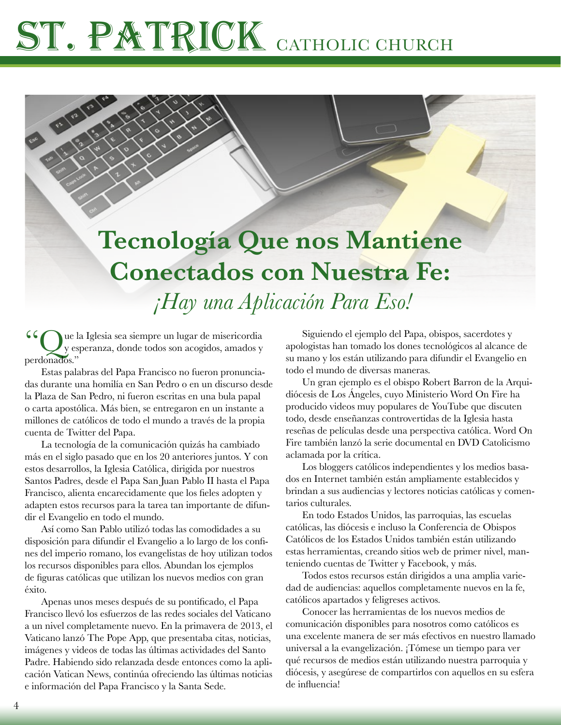### **Tecnología Que nos Mantiene Conectados con Nuestra Fe:**  *¡Hay una Aplicación Para Eso!*

"Que la Iglesia sea siempre un lugar de misericordia y esperanza, donde todos son acogidos, amados y perdonados."

Estas palabras del Papa Francisco no fueron pronunciadas durante una homilía en San Pedro o en un discurso desde la Plaza de San Pedro, ni fueron escritas en una bula papal o carta apostólica. Más bien, se entregaron en un instante a millones de católicos de todo el mundo a través de la propia cuenta de Twitter del Papa.

La tecnología de la comunicación quizás ha cambiado más en el siglo pasado que en los 20 anteriores juntos. Y con estos desarrollos, la Iglesia Católica, dirigida por nuestros Santos Padres, desde el Papa San Juan Pablo II hasta el Papa Francisco, alienta encarecidamente que los fieles adopten y adapten estos recursos para la tarea tan importante de difundir el Evangelio en todo el mundo.

Así como San Pablo utilizó todas las comodidades a su disposición para difundir el Evangelio a lo largo de los confines del imperio romano, los evangelistas de hoy utilizan todos los recursos disponibles para ellos. Abundan los ejemplos de figuras católicas que utilizan los nuevos medios con gran éxito.

Apenas unos meses después de su pontificado, el Papa Francisco llevó los esfuerzos de las redes sociales del Vaticano a un nivel completamente nuevo. En la primavera de 2013, el Vaticano lanzó The Pope App, que presentaba citas, noticias, imágenes y videos de todas las últimas actividades del Santo Padre. Habiendo sido relanzada desde entonces como la aplicación Vatican News, continúa ofreciendo las últimas noticias e información del Papa Francisco y la Santa Sede.

Siguiendo el ejemplo del Papa, obispos, sacerdotes y apologistas han tomado los dones tecnológicos al alcance de su mano y los están utilizando para difundir el Evangelio en todo el mundo de diversas maneras.

Un gran ejemplo es el obispo Robert Barron de la Arquidiócesis de Los Ángeles, cuyo Ministerio Word On Fire ha producido videos muy populares de YouTube que discuten todo, desde enseñanzas controvertidas de la Iglesia hasta reseñas de películas desde una perspectiva católica. Word On Fire también lanzó la serie documental en DVD Catolicismo aclamada por la crítica.

Los bloggers católicos independientes y los medios basados en Internet también están ampliamente establecidos y brindan a sus audiencias y lectores noticias católicas y comentarios culturales.

En todo Estados Unidos, las parroquias, las escuelas católicas, las diócesis e incluso la Conferencia de Obispos Católicos de los Estados Unidos también están utilizando estas herramientas, creando sitios web de primer nivel, manteniendo cuentas de Twitter y Facebook, y más.

Todos estos recursos están dirigidos a una amplia variedad de audiencias: aquellos completamente nuevos en la fe, católicos apartados y feligreses activos.

Conocer las herramientas de los nuevos medios de comunicación disponibles para nosotros como católicos es una excelente manera de ser más efectivos en nuestro llamado universal a la evangelización. ¡Tómese un tiempo para ver qué recursos de medios están utilizando nuestra parroquia y diócesis, y asegúrese de compartirlos con aquellos en su esfera de influencia!

4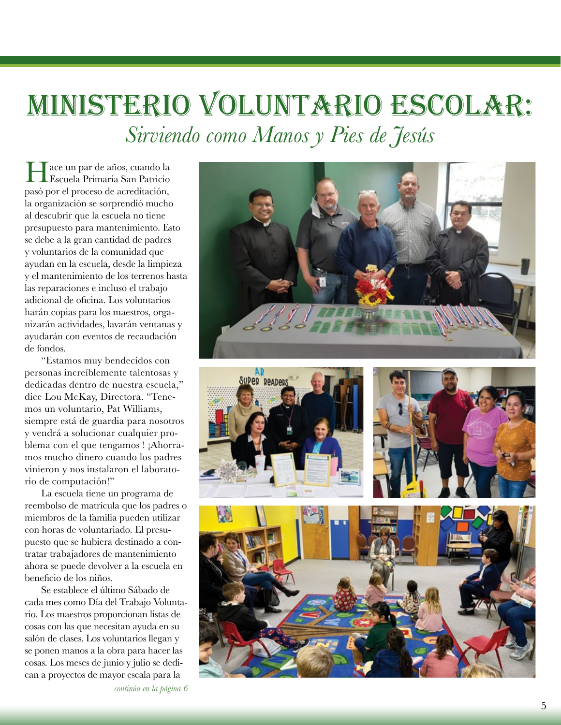### Ministerio Voluntario Escolar: *Sirviendo como Manos y Pies de Jesús*

Tace un par de años, cuando la Escuela Primaria San Patricio pasó por el proceso de acreditación, la organización se sorprendió mucho al descubrir que la escuela no tiene presupuesto para mantenimiento. Esto se debe a la gran cantidad de padres y voluntarios de la comunidad que ayudan en la escuela, desde la limpieza y el mantenimiento de los terrenos hasta las reparaciones e incluso el trabajo adicional de oficina. Los voluntarios harán copias para los maestros, organizarán actividades, lavarán ventanas y ayudarán con eventos de recaudación de fondos.

"Estamos muy bendecidos con personas increíblemente talentosas y dedicadas dentro de nuestra escuela," dice Lou McKay, Directora. "Tenemos un voluntario, Pat Williams, siempre está de guardia para nosotros y vendrá a solucionar cualquier problema con el que tengamos ! ¡Ahorramos mucho dinero cuando los padres vinieron y nos instalaron el laboratorio de computación!"

La escuela tiene un programa de reembolso de matrícula que los padres o miembros de la familia pueden utilizar con horas de voluntariado. El presupuesto que se hubiera destinado a contratar trabajadores de mantenimiento ahora se puede devolver a la escuela en beneficio de los niños.

Se establece el último Sábado de cada mes como Día del Trabajo Voluntario. Los maestros proporcionan listas de cosas con las que necesitan ayuda en su salón de clases. Los voluntarios llegan y se ponen manos a la obra para hacer las cosas. Los meses de junio y julio se dedican a proyectos de mayor escala para la